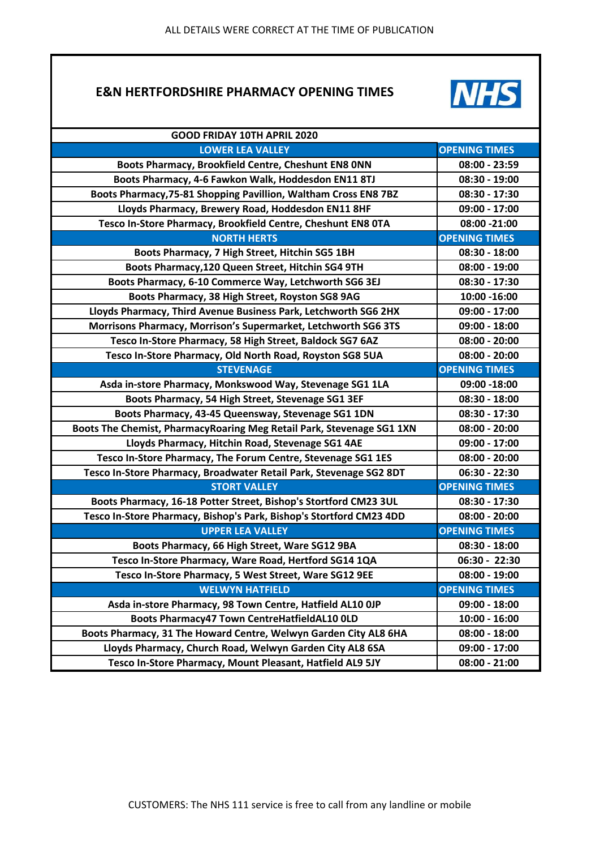## **E&N HERTFORDSHIRE PHARMACY OPENING TIMES**



| GOOD FRIDAY 10TH APRIL 2020                                           |                      |
|-----------------------------------------------------------------------|----------------------|
| <b>LOWER LEA VALLEY</b>                                               | <b>OPENING TIMES</b> |
| Boots Pharmacy, Brookfield Centre, Cheshunt EN8 ONN                   | 08:00 - 23:59        |
| Boots Pharmacy, 4-6 Fawkon Walk, Hoddesdon EN11 8TJ                   | 08:30 - 19:00        |
| Boots Pharmacy, 75-81 Shopping Pavillion, Waltham Cross EN8 7BZ       | 08:30 - 17:30        |
| Lloyds Pharmacy, Brewery Road, Hoddesdon EN11 8HF                     | 09:00 - 17:00        |
| Tesco In-Store Pharmacy, Brookfield Centre, Cheshunt EN8 OTA          | 08:00 -21:00         |
| <b>NORTH HERTS</b>                                                    | <b>OPENING TIMES</b> |
| Boots Pharmacy, 7 High Street, Hitchin SG5 1BH                        | 08:30 - 18:00        |
| Boots Pharmacy, 120 Queen Street, Hitchin SG4 9TH                     | 08:00 - 19:00        |
| Boots Pharmacy, 6-10 Commerce Way, Letchworth SG6 3EJ                 | 08:30 - 17:30        |
| Boots Pharmacy, 38 High Street, Royston SG8 9AG                       | 10:00 -16:00         |
| Lloyds Pharmacy, Third Avenue Business Park, Letchworth SG6 2HX       | 09:00 - 17:00        |
| Morrisons Pharmacy, Morrison's Supermarket, Letchworth SG6 3TS        | 09:00 - 18:00        |
| Tesco In-Store Pharmacy, 58 High Street, Baldock SG7 6AZ              | 08:00 - 20:00        |
| Tesco In-Store Pharmacy, Old North Road, Royston SG8 5UA              | $08:00 - 20:00$      |
| <b>STEVENAGE</b>                                                      | <b>OPENING TIMES</b> |
| Asda in-store Pharmacy, Monkswood Way, Stevenage SG1 1LA              | 09:00 -18:00         |
| Boots Pharmacy, 54 High Street, Stevenage SG1 3EF                     | 08:30 - 18:00        |
| Boots Pharmacy, 43-45 Queensway, Stevenage SG1 1DN                    | 08:30 - 17:30        |
| Boots The Chemist, PharmacyRoaring Meg Retail Park, Stevenage SG1 1XN | $08:00 - 20:00$      |
| Lloyds Pharmacy, Hitchin Road, Stevenage SG1 4AE                      | 09:00 - 17:00        |
| Tesco In-Store Pharmacy, The Forum Centre, Stevenage SG1 1ES          | 08:00 - 20:00        |
| Tesco In-Store Pharmacy, Broadwater Retail Park, Stevenage SG2 8DT    | 06:30 - 22:30        |
| <b>STORT VALLEY</b>                                                   | <b>OPENING TIMES</b> |
| Boots Pharmacy, 16-18 Potter Street, Bishop's Stortford CM23 3UL      | 08:30 - 17:30        |
| Tesco In-Store Pharmacy, Bishop's Park, Bishop's Stortford CM23 4DD   | 08:00 - 20:00        |
| <b>UPPER LEA VALLEY</b>                                               | <b>OPENING TIMES</b> |
| Boots Pharmacy, 66 High Street, Ware SG12 9BA                         | 08:30 - 18:00        |
| Tesco In-Store Pharmacy, Ware Road, Hertford SG14 1QA                 | 06:30 - 22:30        |
| Tesco In-Store Pharmacy, 5 West Street, Ware SG12 9EE                 | 08:00 - 19:00        |
| <b>WELWYN HATFIELD</b>                                                | <b>OPENING TIMES</b> |
| Asda in-store Pharmacy, 98 Town Centre, Hatfield AL10 OJP             | $09:00 - 18:00$      |
| Boots Pharmacy47 Town CentreHatfieldAL10 OLD                          | $10:00 - 16:00$      |
| Boots Pharmacy, 31 The Howard Centre, Welwyn Garden City AL8 6HA      | $08:00 - 18:00$      |
| Lloyds Pharmacy, Church Road, Welwyn Garden City AL8 6SA              | $09:00 - 17:00$      |
| Tesco In-Store Pharmacy, Mount Pleasant, Hatfield AL9 5JY             | $08:00 - 21:00$      |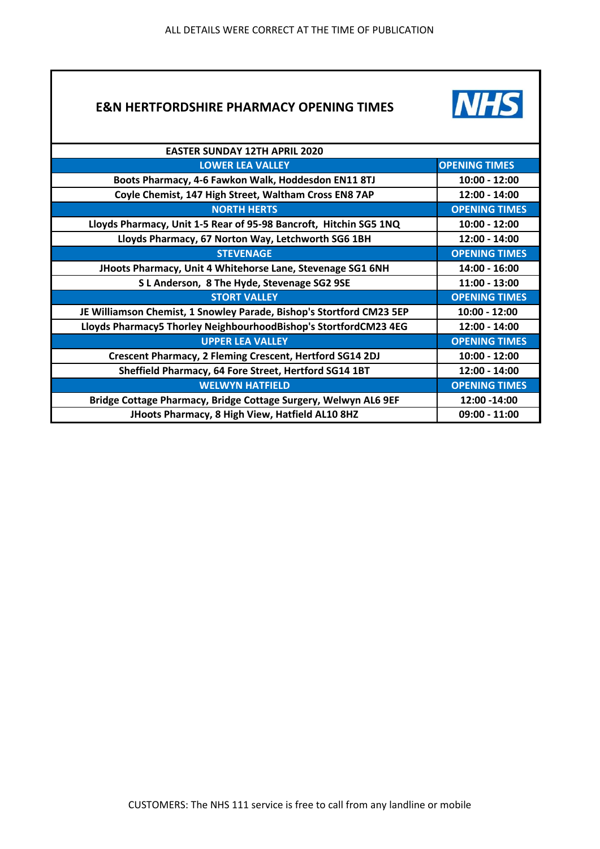## **E&N HERTFORDSHIRE PHARMACY OPENING TIMES**



| <b>EASTER SUNDAY 12TH APRIL 2020</b>                                 |                      |
|----------------------------------------------------------------------|----------------------|
| <b>LOWER LEA VALLEY</b>                                              | <b>OPENING TIMES</b> |
| Boots Pharmacy, 4-6 Fawkon Walk, Hoddesdon EN11 8TJ                  | $10:00 - 12:00$      |
| Coyle Chemist, 147 High Street, Waltham Cross EN8 7AP                | 12:00 - 14:00        |
| <b>NORTH HERTS</b>                                                   | <b>OPENING TIMES</b> |
| Lloyds Pharmacy, Unit 1-5 Rear of 95-98 Bancroft, Hitchin SG5 1NQ    | $10:00 - 12:00$      |
| Lloyds Pharmacy, 67 Norton Way, Letchworth SG6 1BH                   | 12:00 - 14:00        |
| <b>STEVENAGE</b>                                                     | <b>OPENING TIMES</b> |
| JHoots Pharmacy, Unit 4 Whitehorse Lane, Stevenage SG1 6NH           | 14:00 - 16:00        |
| S L Anderson, 8 The Hyde, Stevenage SG2 9SE                          | $11:00 - 13:00$      |
| <b>STORT VALLEY</b>                                                  | <b>OPENING TIMES</b> |
| JE Williamson Chemist, 1 Snowley Parade, Bishop's Stortford CM23 5EP | $10:00 - 12:00$      |
| Lloyds Pharmacy5 Thorley NeighbourhoodBishop's StortfordCM23 4EG     | 12:00 - 14:00        |
| <b>UPPER LEA VALLEY</b>                                              | <b>OPENING TIMES</b> |
| Crescent Pharmacy, 2 Fleming Crescent, Hertford SG14 2DJ             | $10:00 - 12:00$      |
| Sheffield Pharmacy, 64 Fore Street, Hertford SG14 1BT                | 12:00 - 14:00        |
| <b>WELWYN HATFIELD</b>                                               | <b>OPENING TIMES</b> |
| Bridge Cottage Pharmacy, Bridge Cottage Surgery, Welwyn AL6 9EF      | 12:00 -14:00         |
| JHoots Pharmacy, 8 High View, Hatfield AL10 8HZ                      | $09:00 - 11:00$      |